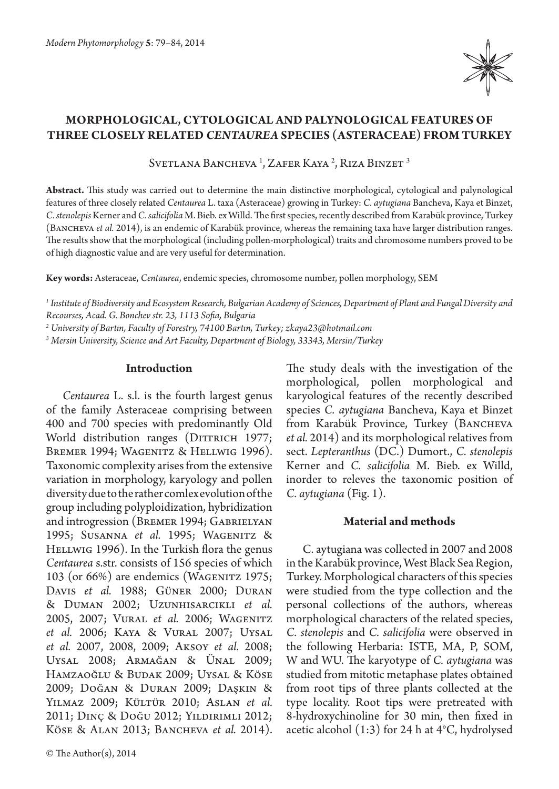

# **MORPHOLOGICAL, CYTOLOGICAL AND PALYNOLOGICAL FEATURES OF THREE CLOSELY RELATED** *CENTAUREA* **SPECIES (ASTERACEAE) FROM TURKEY**

Svetlana Bancheva <sup>1</sup>, Zafer Kaya <sup>2</sup>, Riza Binzet <sup>3</sup>

**Abstract.** This study was carried out to determine the main distinctive morphological, cytological and palynological features of three closely related *Centaurea* L. taxa (Asteraceae) growing in Turkey: *C. aytugiana* Bancheva, Kaya et Binzet, *C. stenolepis* Kerner and *C. salicifolia* M. Bieb. ex Willd. The first species, recently described from Karabük province, Turkey (BANCHEVA *et al.* 2014), is an endemic of Karabük province, whereas the remaining taxa have larger distribution ranges. The results show that the morphological (including pollen-morphological) traits and chromosome numbers proved to be of high diagnostic value and are very useful for determination.

**Key words:** Asteraceae, *Centaurea*, endemic species, chromosome number, pollen morphology, SEM

*1 Institute of Biodiversity and Ecosystem Research, Bulgarian Academy of Sciences, Department of Plant and Fungal Diversity and Recourses, Acad. G. Bonchev str. 23, 1113 Sofia, Bulgaria*

*2 University of Bartın, Faculty of Forestry, 74100 Bartın, Turkey; zkaya23@hotmail.com*

*3 Mersin University, Science and Art Faculty, Department of Biology, 33343, Mersin/Turkey*

#### **Introduction**

*Centaurea* L. s.l. is the fourth largest genus of the family Asteraceae comprising between 400 and 700 species with predominantly Old World distribution ranges (DITTRICH 1977; BREMER 1994; WAGENITZ & HELLWIG 1996). Taxonomic complexity arises from the extensive variation in morphology, karyology and pollen diversity due to the rather comlex evolution of the group including polyploidization, hybridization and introgression (Bremer 1994; Gabrielyan 1995; Susanna *et al.* 1995; Wagenitz & HELLWIG 1996). In the Turkish flora the genus *Centaurea* s.str. consists of 156 species of which 103 (or 66%) are endemics (WAGENITZ 1975; Davis *et al.*  1988; Güner 2000; Duran & Duman 2002; Uzunhisarcıklı *et al.*  2005, 2007; VURAL et al. 2006; WAGENITZ *et al.* 2006; Kaya & Vural 2007; Uysal *et al.* 2007, 2008, 2009; Aksoy *et al.* 2008; Uysal 2008; Armağan & Ünal 2009; Hamzaoğlu & Budak 2009; Uysal & Köse 2009; Doğan & Duran 2009; Daşkın & Yılmaz 2009; Kültür 2010; Aslan *et al.* 2011; Dinç & Doğu 2012; Yıldırımlı 2012; KÖSE & ALAN 2013; BANCHEVA et al. 2014).

© The Author(s), 2014

The study deals with the investigation of the morphological, pollen morphological and karyological features of the recently described species *C. aytugiana* Bancheva, Kaya et Binzet from Karabük Province, Turkey (BANCHEVA *et al.* 2014) and its morphological relatives from sect. *Lepteranthus* (DC.) Dumort., *C. stenolepis*  Kerner and *C. salicifolia* M. Bieb. ex Willd, inorder to releves the taxonomic position of *C. aytugiana* (Fig. 1).

# **Material and methods**

C. aytugiana was collected in 2007 and 2008 in the Karabük province, West Black Sea Region, Turkey. Morphological characters of this species were studied from the type collection and the personal collections of the authors, whereas morphological characters of the related species, *C. stenolepis* and *C. salicifolia* were observed in the following Herbaria: ISTE, MA, P, SOM, W and WU. The karyotype of *C. aytugiana* was studied from mitotic metaphase plates obtained from root tips of three plants collected at the type locality. Root tips were pretreated with 8-hydroxychinoline for 30 min, then fixed in acetic alcohol (1:3) for 24 h at 4°C, hydrolysed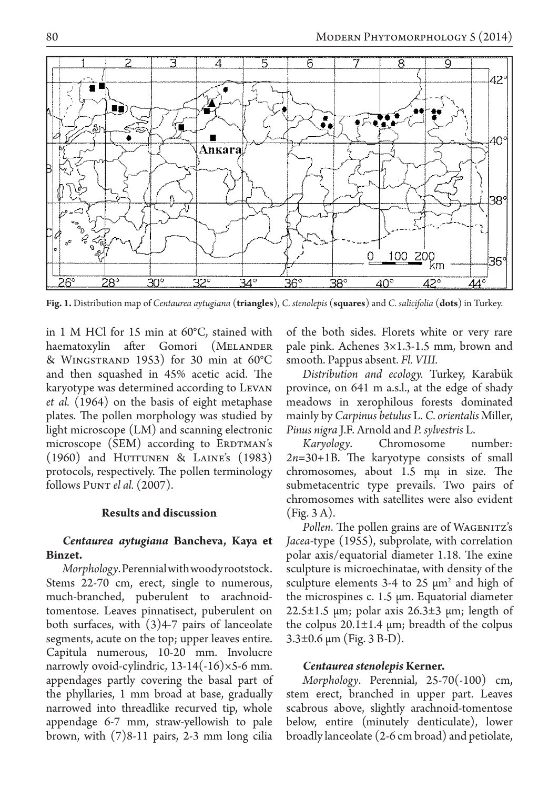

**Fig. 1.** Distribution map of *Centaurea aytugiana* (**triangles**), *C. stenolepis* (**squares**) and *C. salicifolia* (**dots**) in Turkey.

in 1 M HCl for 15 min at 60°C, stained with haematoxylin after Gomori (MELANDER & Wingstrand 1953) for 30 min at 60°C and then squashed in 45% acetic acid. The karyotype was determined according to Levan *et al.* (1964) on the basis of eight metaphase plates. The pollen morphology was studied by light microscope (LM) and scanning electronic microscope (SEM) according to ERDTMAN's  $(1960)$  and Huttunen & Laine's  $(1983)$ protocols, respectively. The pollen terminology follows Punt *el al.* (2007).

#### **Results and discussion**

# *Centaurea aytugiana* **Bancheva, Kaya et Binzet.**

*Morphology*. Perennial with woody rootstock. Stems 22-70 cm, erect, single to numerous, much-branched, puberulent to arachnoidtomentose. Leaves pinnatisect, puberulent on both surfaces, with (3)4-7 pairs of lanceolate segments, acute on the top; upper leaves entire. Capitula numerous, 10-20 mm. Involucre narrowly ovoid-cylindric,  $13-14(-16)\times5-6$  mm. appendages partly covering the basal part of the phyllaries, 1 mm broad at base, gradually narrowed into threadlike recurved tip, whole appendage 6-7 mm, straw-yellowish to pale brown, with (7)8-11 pairs, 2-3 mm long cilia of the both sides. Florets white or very rare pale pink. Achenes 3×1.3-1.5 mm, brown and smooth. Pappus absent. *Fl. VIII.*

*Distribution and ecology.* Turkey, Karabük province, on 641 m a.s.l., at the edge of shady meadows in xerophilous forests dominated mainly by *Carpinus betulus* L. *C. orientalis* Miller, *Pinus nigra* J.F. Arnold and *P. sylvestris* L.

*Karyology*. Chromosome number: *2n*=30+1B. The karyotype consists of small chromosomes, about 1.5 mµ in size. The submetacentric type prevails. Two pairs of chromosomes with satellites were also evident (Fig. 3 A).

Pollen. The pollen grains are of WAGENITZ's *Jacea*-type (1955), subprolate, with correlation polar axis/equatorial diameter 1.18. The exine sculpture is microechinatae, with density of the sculpture elements  $3-4$  to  $25 \mu m^2$  and high of the microspines c. 1.5 µm. Equatorial diameter  $22.5\pm1.5$  µm; polar axis  $26.3\pm3$  µm; length of the colpus  $20.1 \pm 1.4$  µm; breadth of the colpus 3.3±0.6 µm (Fig. 3 B-D).

#### *Centaurea stenolepis* **Kerner.**

*Morphology*. Perennial, 25-70(-100) cm, stem erect, branched in upper part. Leaves scabrous above, slightly arachnoid-tomentose below, entire (minutely denticulate), lower broadly lanceolate (2-6 cm broad) and petiolate,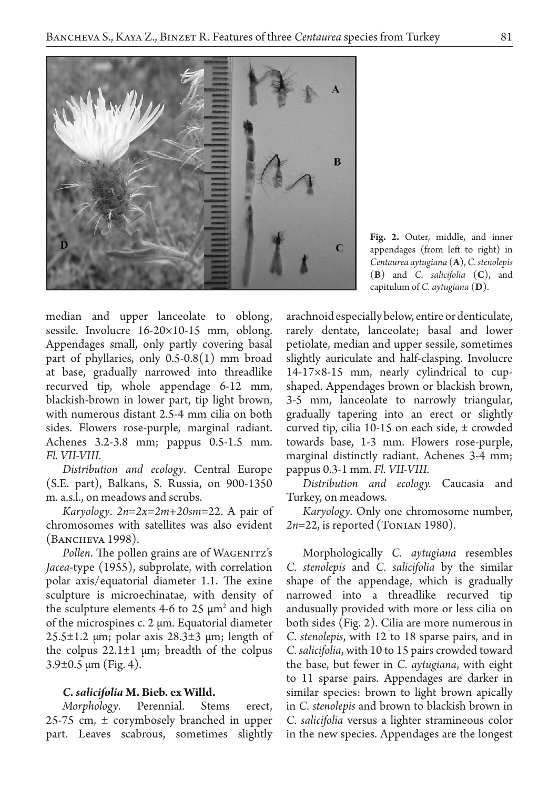

**Fig. 2.** Outer, middle, and inner appendages (from left to right) in *Centaurea aytugiana* (**A**), *C. stenolepis* (**B**) and *C. salicifolia* (**C**), and capitulum of *C. aytugiana* (**D**).

median and upper lanceolate to oblong, sessile. Involucre 16-20×10-15 mm, oblong. Appendages small, only partly covering basal part of phyllaries, only 0.5-0.8(1) mm broad at base, gradually narrowed into threadlike recurved tip, whole appendage 6-12 mm, blackish-brown in lower part, tip light brown, with numerous distant 2.5-4 mm cilia on both sides. Flowers rose-purple, marginal radiant. Achenes 3.2-3.8 mm; pappus 0.5-1.5 mm. *Fl. VII-VIII.*

*Distribution and ecology*. Central Europe (S.E. part), Balkans, S. Russia, on 900-1350 m. a.s.l., on meadows and scrubs.

*Karyology*. *2n=2x=2m+20sm*=22. A pair of chromosomes with satellites was also evident (Bancheva 1998).

Pollen. The pollen grains are of WAGENITZ's *Jacea*-type (1955), subprolate, with correlation polar axis/equatorial diameter 1.1. The exine sculpture is microechinatae, with density of the sculpture elements 4-6 to 25  $\mu$ m<sup>2</sup> and high of the microspines c. 2 µm. Equatorial diameter  $25.5\pm1.2$  µm; polar axis  $28.3\pm3$  µm; length of the colpus  $22.1 \pm 1$  µm; breadth of the colpus  $3.9\pm0.5 \,\mathrm{\mu m}$  (Fig. 4).

# *C. salicifolia* **M. Bieb. ex Willd.**

*Morphology*. Perennial. Stems erect, 25-75 cm, ± corymbosely branched in upper part. Leaves scabrous, sometimes slightly arachnoid especially below, entire or denticulate, rarely dentate, lanceolate; basal and lower petiolate, median and upper sessile, sometimes slightly auriculate and half-clasping. Involucre 14-17×8-15 mm, nearly cylindrical to cupshaped. Appendages brown or blackish brown, 3-5 mm, lanceolate to narrowly triangular, gradually tapering into an erect or slightly curved tip, cilia 10-15 on each side, ± crowded towards base, 1-3 mm. Flowers rose-purple, marginal distinctly radiant. Achenes 3-4 mm; pappus 0.3-1 mm. *Fl. VII-VIII.*

*Distribution and ecology.* Caucasia and Turkey, on meadows.

*Karyology*. Only one chromosome number, *2n*=22, is reported (Tonian 1980).

Morphologically *C. aytugiana* resembles *C. stenolepis* and *C. salicifolia* by the similar shape of the appendage, which is gradually narrowed into a threadlike recurved tip andusually provided with more or less cilia on both sides (Fig. 2). Cilia are more numerous in *C. stenolepis*, with 12 to 18 sparse pairs, and in *C. salicifolia*, with 10 to 15 pairs crowded toward the base, but fewer in *C. aytugiana*, with eight to 11 sparse pairs. Appendages are darker in similar species: brown to light brown apically in *C. stenolepis* and brown to blackish brown in *C. salicifolia* versus a lighter stramineous color in the new species. Appendages are the longest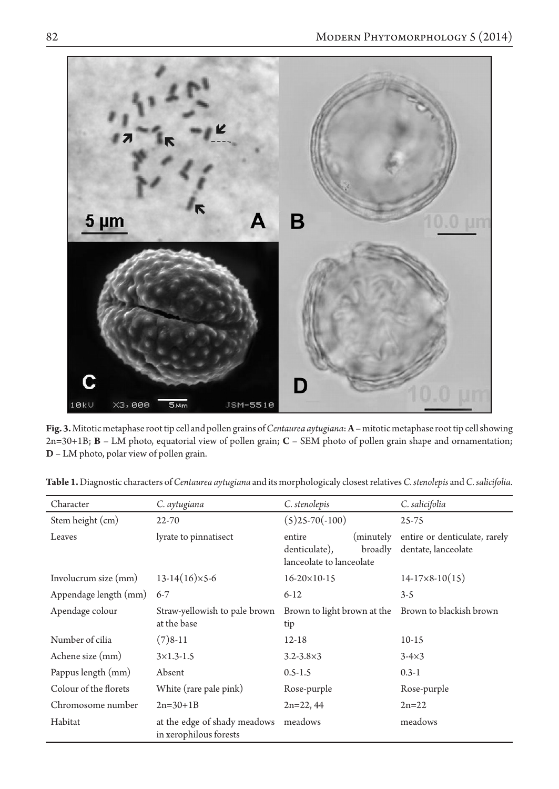

**Fig. 3.** Mitotic metaphase root tip cell and pollen grains of *Centaurea aytugiana*: **A** – mitotic metaphase root tip cell showing 2n=30+1B; **B** – LM photo, equatorial view of pollen grain; **C** – SEM photo of pollen grain shape and ornamentation; **D** – LM photo, polar view of pollen grain.

| Character             | C. aytugiana                                           | C. stenolepis                                                               | C. salicifolia                                       |
|-----------------------|--------------------------------------------------------|-----------------------------------------------------------------------------|------------------------------------------------------|
| Stem height (cm)      | $22 - 70$                                              | $(5)25-70(-100)$                                                            | $25 - 75$                                            |
| Leaves                | lyrate to pinnatisect                                  | (minutely<br>entire<br>denticulate),<br>broadly<br>lanceolate to lanceolate | entire or denticulate, rarely<br>dentate, lanceolate |
| Involucrum size (mm)  | $13-14(16)\times5-6$                                   | $16 - 20 \times 10 - 15$                                                    | $14-17\times8-10(15)$                                |
| Appendage length (mm) | $6 - 7$                                                | $6 - 12$                                                                    | $3-5$                                                |
| Apendage colour       | Straw-yellowish to pale brown<br>at the base           | Brown to light brown at the Brown to blackish brown<br>tip                  |                                                      |
| Number of cilia       | $(7)8-11$                                              | $12 - 18$                                                                   | $10-15$                                              |
| Achene size (mm)      | $3\times1.3-1.5$                                       | $3.2 - 3.8 \times 3$                                                        | $3-4\times3$                                         |
| Pappus length (mm)    | Absent                                                 | $0.5 - 1.5$                                                                 | $0.3 - 1$                                            |
| Colour of the florets | White (rare pale pink)                                 | Rose-purple                                                                 | Rose-purple                                          |
| Chromosome number     | $2n=30+1B$                                             | $2n=22, 44$                                                                 | $2n = 22$                                            |
| Habitat               | at the edge of shady meadows<br>in xerophilous forests | meadows                                                                     | meadows                                              |

**Table 1.** Diagnostic characters of *Centaurea aytugiana* and its morphologicaly closest relatives *C. stenolepis* and *C. salicifolia*.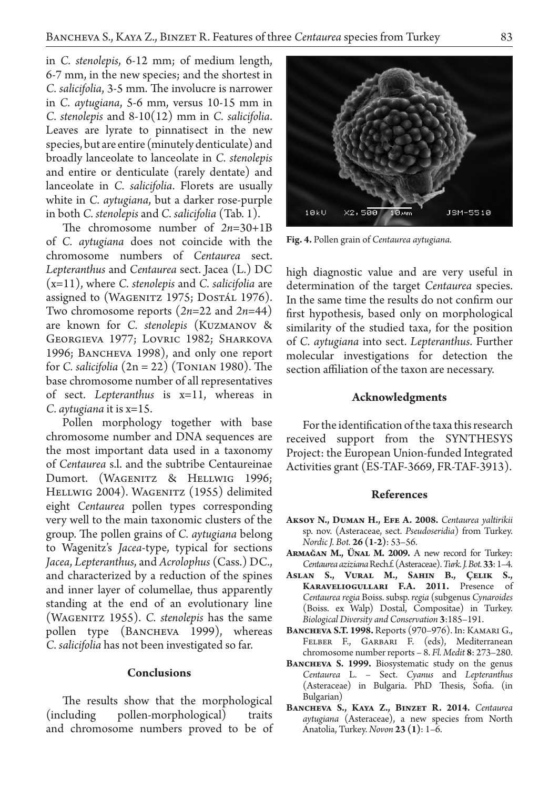in *C. stenolepis*, 6-12 mm; of medium length, 6-7 mm, in the new species; and the shortest in *C. salicifolia*, 3-5 mm. The involucre is narrower in *C. aytugiana*, 5-6 mm, versus 10-15 mm in *C. stenolepis* and 8-10(12) mm in *C. salicifolia*. Leaves are lyrate to pinnatisect in the new species, but are entire (minutely denticulate) and broadly lanceolate to lanceolate in *C. stenolepis*  and entire or denticulate (rarely dentate) and lanceolate in *C. salicifolia*. Florets are usually white in *C. aytugiana*, but a darker rose-purple in both *C. stenolepis* and *C. salicifolia* (Tab. 1).

The chromosome number of *2n*=30+1B of *C. aytugiana* does not coincide with the chromosome numbers of *Centaurea* sect. *Lepteranthus* and *Centaurea* sect. Jacea (L.) DC (x=11), where *C. stenolepis* and *C. salicifolia* are assigned to (WAGENITZ 1975; DOSTÁL 1976). Two chromosome reports (*2n*=22 and *2n*=44) are known for *C. stenolepis* (Kuzmanov & Georgieva 1977; Lovric 1982; Sharkova 1996; BANCHEVA 1998), and only one report for *C. salicifolia* (2n = 22) (Tonian 1980). The base chromosome number of all representatives of sect. *Lepteranthus* is x=11, whereas in *C. aytugiana* it is x=15.

Pollen morphology together with base chromosome number and DNA sequences are the most important data used in a taxonomy of *Centaurea* s.l. and the subtribe Centaureinae Dumort. (WAGENITZ & HELLWIG 1996; HELLWIG 2004). WAGENITZ (1955) delimited eight *Centaurea* pollen types corresponding very well to the main taxonomic clusters of the group. The pollen grains of *C. aytugiana* belong to Wagenitz's *Jacea*-type, typical for sections *Jacea*, *Lepteranthus*, and *Acrolophus* (Cass.) DC., and characterized by a reduction of the spines and inner layer of columellae, thus apparently standing at the end of an evolutionary line (Wagenitz 1955). *C. stenolepis* has the same pollen type (BANCHEVA 1999), whereas *C. salicifolia* has not been investigated so far.

#### **Conclusions**

The results show that the morphological (including pollen-morphological) traits and chromosome numbers proved to be of

high diagnostic value and are very useful in determination of the target *Centaurea* species. In the same time the results do not confirm our first hypothesis, based only on morphological similarity of the studied taxa, for the position of *C. aytugiana* into sect. *Lepteranthus*. Further molecular investigations for detection the

# **Acknowledgments**

section affiliation of the taxon are necessary.

For the identification of the taxa this research received support from the SYNTHESYS Project: the European Union-funded Integrated Activities grant (ES-TAF-3669, FR-TAF-3913).

#### **References**

- **Aksoy N., Duman H., Efe A. 2008.** *Centaurea yaltirikii*  sp. nov. (Asteraceae, sect. *Pseudoseridia*) from Turkey. *Nordic J. Bot.* **26 (1-2)**: 53–56.
- **Armağan M., Ünal M. 2009.** A new record for Turkey: *Centaurea aziziana* Rech.f. (Asteraceae). *Turk. J. Bot.* **33**: 1–4.
- **Aslan S., Vural M., Sahin B., Çelik S., Karaveliogulları F.A. 2011.** Presence of *Centaurea regia* Boiss. subsp. *regia* (subgenus *Cynaroides* (Boiss. ex Walp) Dostal, Compositae) in Turkey. *Biological Diversity and Conservation* **3**:185–191.
- **Bancheva S.T. 1998.** Reports (970–976). In: Kamari G., Felber F., Garbari F. (eds), Mediterranean chromosome number reports – 8. *Fl. Medit* **8**: 273–280.
- BANCHEVA S. 1999. Biosystematic study on the genus *Centaurea* L. – Sect. *Cyanus* and *Lepteranthus* (Asteraceae) in Bulgaria. PhD Thesis, Sofia. (in Bulgarian)
- BANCHEVA S., KAYA Z., BINZET R. 2014. Centaurea *aytugiana* (Asteraceae), a new species from North Anatolia, Turkey. *Novon* **23 (1)**: 1–6.